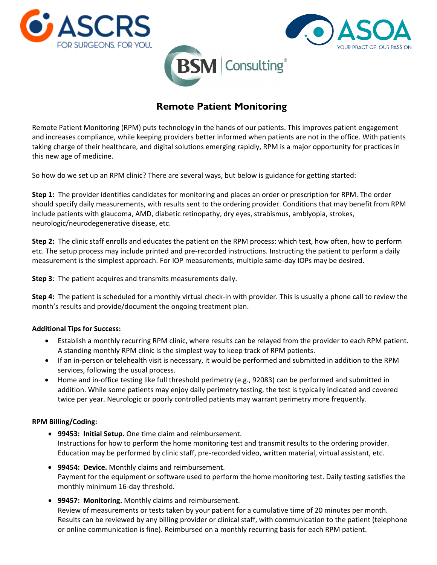





# **Remote Patient Monitoring**

Remote Patient Monitoring (RPM) puts technology in the hands of our patients. This improves patient engagement and increases compliance, while keeping providers better informed when patients are not in the office. With patients taking charge of their healthcare, and digital solutions emerging rapidly, RPM is a major opportunity for practices in this new age of medicine.

So how do we set up an RPM clinic? There are several ways, but below is guidance for getting started:

**Step 1:** The provider identifies candidates for monitoring and places an order or prescription for RPM. The order should specify daily measurements, with results sent to the ordering provider. Conditions that may benefit from RPM include patients with glaucoma, AMD, diabetic retinopathy, dry eyes, strabismus, amblyopia, strokes, neurologic/neurodegenerative disease, etc.

**Step 2:** The clinic staff enrolls and educates the patient on the RPM process: which test, how often, how to perform etc. The setup process may include printed and pre-recorded instructions. Instructing the patient to perform a daily measurement is the simplest approach. For IOP measurements, multiple same-day IOPs may be desired.

**Step 3**: The patient acquires and transmits measurements daily.

**Step 4:** The patient is scheduled for a monthly virtual check-in with provider. This is usually a phone call to review the month's results and provide/document the ongoing treatment plan.

## **Additional Tips for Success:**

- Establish a monthly recurring RPM clinic, where results can be relayed from the provider to each RPM patient. A standing monthly RPM clinic is the simplest way to keep track of RPM patients.
- If an in-person or telehealth visit is necessary, it would be performed and submitted in addition to the RPM services, following the usual process.
- Home and in-office testing like full threshold perimetry (e.g., 92083) can be performed and submitted in addition. While some patients may enjoy daily perimetry testing, the test is typically indicated and covered twice per year. Neurologic or poorly controlled patients may warrant perimetry more frequently.

## **RPM Billing/Coding:**

- **99453: Initial Setup.** One time claim and reimbursement. Instructions for how to perform the home monitoring test and transmit results to the ordering provider. Education may be performed by clinic staff, pre-recorded video, written material, virtual assistant, etc.
- **99454: Device.** Monthly claims and reimbursement. Payment for the equipment or software used to perform the home monitoring test. Daily testing satisfies the monthly minimum 16-day threshold.
- **99457: Monitoring.** Monthly claims and reimbursement. Review of measurements or tests taken by your patient for a cumulative time of 20 minutes per month. Results can be reviewed by any billing provider or clinical staff, with communication to the patient (telephone or online communication is fine). Reimbursed on a monthly recurring basis for each RPM patient.